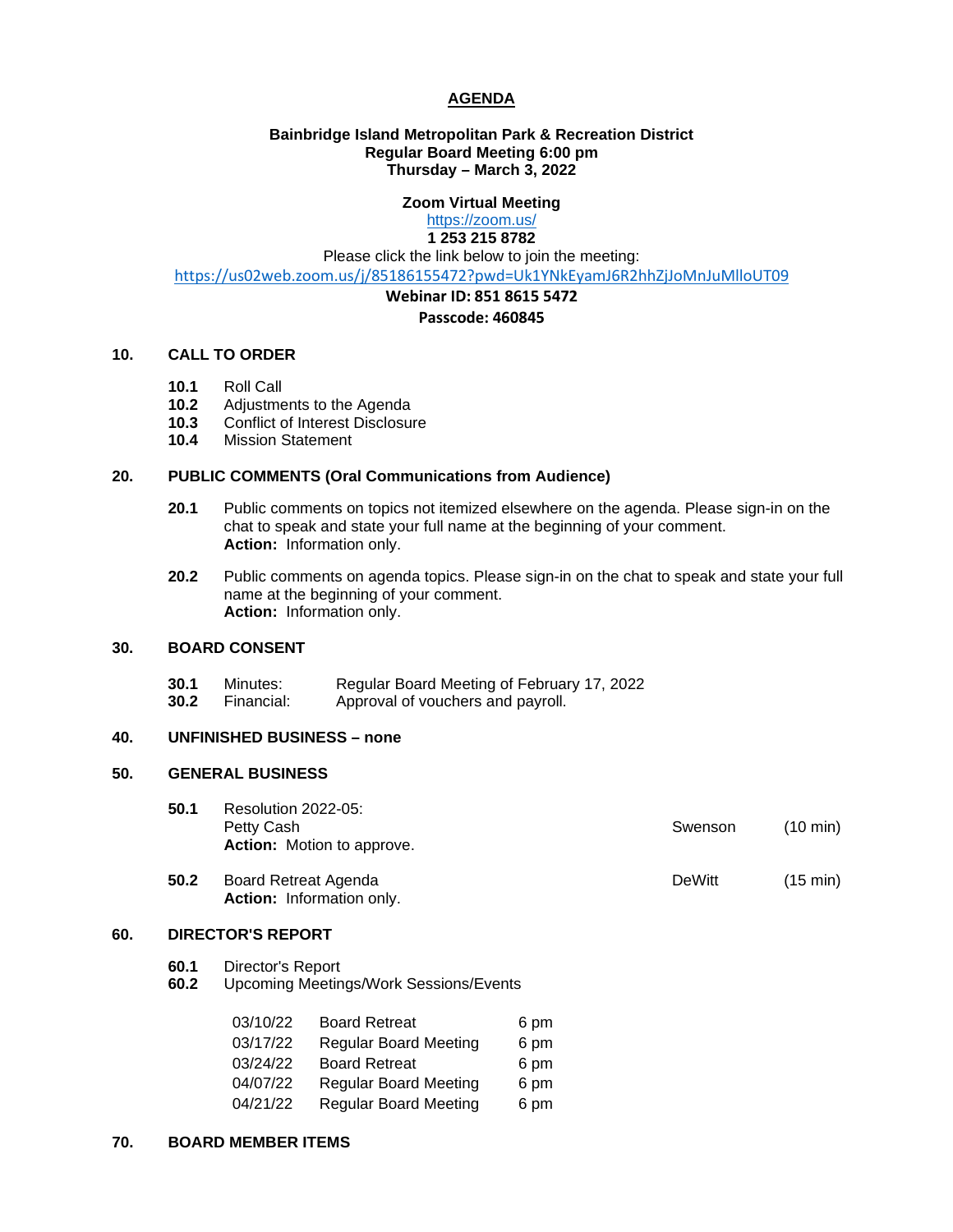# **AGENDA**

# **Bainbridge Island Metropolitan Park & Recreation District Regular Board Meeting 6:00 pm Thursday – March 3, 2022**

# **Zoom Virtual Meeting**

# <https://zoom.us/>

**1 253 215 8782** Please click the link below to join the meeting:

<https://us02web.zoom.us/j/85186155472?pwd=Uk1YNkEyamJ6R2hhZjJoMnJuMlloUT09>

# **Webinar ID: 851 8615 5472**

## **Passcode: 460845**

## **10. CALL TO ORDER**

- **10.1** Roll Call
- **10.2** Adjustments to the Agenda<br>**10.3** Conflict of Interest Disclosu
- 10.3 Conflict of Interest Disclosure<br>10.4 Mission Statement
- **10.4** Mission Statement

## **20. PUBLIC COMMENTS (Oral Communications from Audience)**

- **20.1** Public comments on topics not itemized elsewhere on the agenda. Please sign-in on the chat to speak and state your full name at the beginning of your comment. **Action:** Information only.
- **20.2** Public comments on agenda topics. Please sign-in on the chat to speak and state your full name at the beginning of your comment. **Action:** Information only.

#### **30. BOARD CONSENT**

- **30.1** Minutes: Regular Board Meeting of February 17, 2022<br>**30.2** Financial: Approval of vouchers and payroll.
	- **30.2** Financial: Approval of vouchers and payroll.

# **40. UNFINISHED BUSINESS – none**

#### **50. GENERAL BUSINESS**

- **50.1** Resolution 2022-05: Petty Cash **Swenson** (10 min) **Action:** Motion to approve.
- **50.2** Board Retreat Agenda **DeWitt** (15 min) **Action:** Information only.

# **60. DIRECTOR'S REPORT**

- **60.1** Director's Report
- **60.2** Upcoming Meetings/Work Sessions/Events

| 03/10/22 | <b>Board Retreat</b>         | 6 pm |
|----------|------------------------------|------|
| 03/17/22 | <b>Regular Board Meeting</b> | 6 pm |
| 03/24/22 | <b>Board Retreat</b>         | 6 pm |
| 04/07/22 | <b>Regular Board Meeting</b> | 6 pm |
| 04/21/22 | <b>Regular Board Meeting</b> | 6 pm |

#### **70. BOARD MEMBER ITEMS**